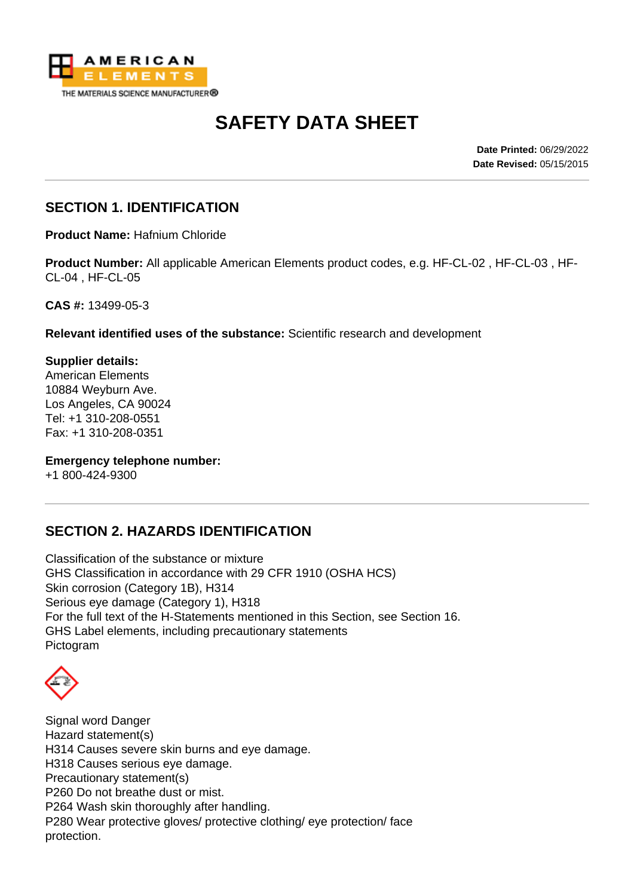

# **SAFETY DATA SHEET**

**Date Printed:** 06/29/2022 **Date Revised:** 05/15/2015

#### **SECTION 1. IDENTIFICATION**

**Product Name:** Hafnium Chloride

**Product Number:** All applicable American Elements product codes, e.g. HF-CL-02 , HF-CL-03 , HF-CL-04 , HF-CL-05

**CAS #:** 13499-05-3

**Relevant identified uses of the substance:** Scientific research and development

**Supplier details:** American Elements 10884 Weyburn Ave. Los Angeles, CA 90024 Tel: +1 310-208-0551 Fax: +1 310-208-0351

**Emergency telephone number:**

+1 800-424-9300

## **SECTION 2. HAZARDS IDENTIFICATION**

Classification of the substance or mixture GHS Classification in accordance with 29 CFR 1910 (OSHA HCS) Skin corrosion (Category 1B), H314 Serious eye damage (Category 1), H318 For the full text of the H-Statements mentioned in this Section, see Section 16. GHS Label elements, including precautionary statements Pictogram

Signal word Danger Hazard statement(s) H314 Causes severe skin burns and eye damage. H318 Causes serious eye damage. Precautionary statement(s) P260 Do not breathe dust or mist. P264 Wash skin thoroughly after handling. P280 Wear protective gloves/ protective clothing/ eye protection/ face protection.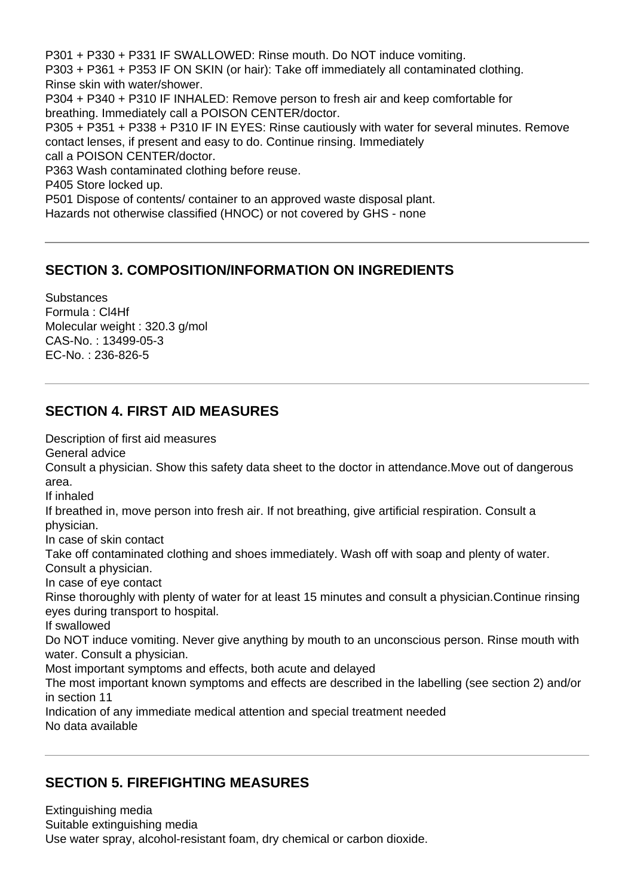P301 + P330 + P331 IF SWALLOWED: Rinse mouth. Do NOT induce vomiting. P303 + P361 + P353 IF ON SKIN (or hair): Take off immediately all contaminated clothing. Rinse skin with water/shower. P304 + P340 + P310 IF INHALED: Remove person to fresh air and keep comfortable for breathing. Immediately call a POISON CENTER/doctor. P305 + P351 + P338 + P310 IF IN EYES: Rinse cautiously with water for several minutes. Remove contact lenses, if present and easy to do. Continue rinsing. Immediately call a POISON CENTER/doctor. P363 Wash contaminated clothing before reuse. P405 Store locked up. P501 Dispose of contents/ container to an approved waste disposal plant. Hazards not otherwise classified (HNOC) or not covered by GHS - none

## **SECTION 3. COMPOSITION/INFORMATION ON INGREDIENTS**

**Substances** Formula : Cl4Hf Molecular weight : 320.3 g/mol CAS-No. : 13499-05-3 EC-No. : 236-826-5

## **SECTION 4. FIRST AID MEASURES**

Description of first aid measures General advice

Consult a physician. Show this safety data sheet to the doctor in attendance.Move out of dangerous area.

If inhaled

If breathed in, move person into fresh air. If not breathing, give artificial respiration. Consult a physician.

In case of skin contact

Take off contaminated clothing and shoes immediately. Wash off with soap and plenty of water.

Consult a physician.

In case of eye contact

Rinse thoroughly with plenty of water for at least 15 minutes and consult a physician.Continue rinsing eyes during transport to hospital.

If swallowed

Do NOT induce vomiting. Never give anything by mouth to an unconscious person. Rinse mouth with water. Consult a physician.

Most important symptoms and effects, both acute and delayed

The most important known symptoms and effects are described in the labelling (see section 2) and/or in section 11

Indication of any immediate medical attention and special treatment needed No data available

## **SECTION 5. FIREFIGHTING MEASURES**

Extinguishing media Suitable extinguishing media Use water spray, alcohol-resistant foam, dry chemical or carbon dioxide.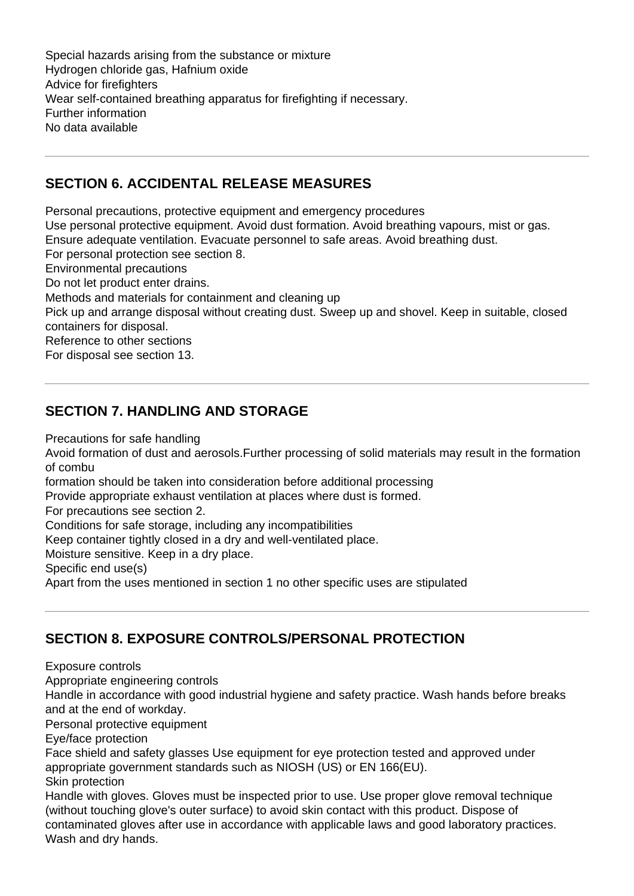Special hazards arising from the substance or mixture Hydrogen chloride gas, Hafnium oxide Advice for firefighters Wear self-contained breathing apparatus for firefighting if necessary. Further information No data available

#### **SECTION 6. ACCIDENTAL RELEASE MEASURES**

Personal precautions, protective equipment and emergency procedures Use personal protective equipment. Avoid dust formation. Avoid breathing vapours, mist or gas. Ensure adequate ventilation. Evacuate personnel to safe areas. Avoid breathing dust. For personal protection see section 8. Environmental precautions Do not let product enter drains. Methods and materials for containment and cleaning up Pick up and arrange disposal without creating dust. Sweep up and shovel. Keep in suitable, closed containers for disposal. Reference to other sections For disposal see section 13.

## **SECTION 7. HANDLING AND STORAGE**

Precautions for safe handling

Avoid formation of dust and aerosols.Further processing of solid materials may result in the formation of combu

formation should be taken into consideration before additional processing

Provide appropriate exhaust ventilation at places where dust is formed.

For precautions see section 2.

Conditions for safe storage, including any incompatibilities

Keep container tightly closed in a dry and well-ventilated place.

Moisture sensitive. Keep in a dry place.

Specific end use(s)

Apart from the uses mentioned in section 1 no other specific uses are stipulated

## **SECTION 8. EXPOSURE CONTROLS/PERSONAL PROTECTION**

Exposure controls

Appropriate engineering controls

Handle in accordance with good industrial hygiene and safety practice. Wash hands before breaks and at the end of workday.

Personal protective equipment

Eye/face protection

Face shield and safety glasses Use equipment for eye protection tested and approved under appropriate government standards such as NIOSH (US) or EN 166(EU). Skin protection

Handle with gloves. Gloves must be inspected prior to use. Use proper glove removal technique (without touching glove's outer surface) to avoid skin contact with this product. Dispose of contaminated gloves after use in accordance with applicable laws and good laboratory practices. Wash and dry hands.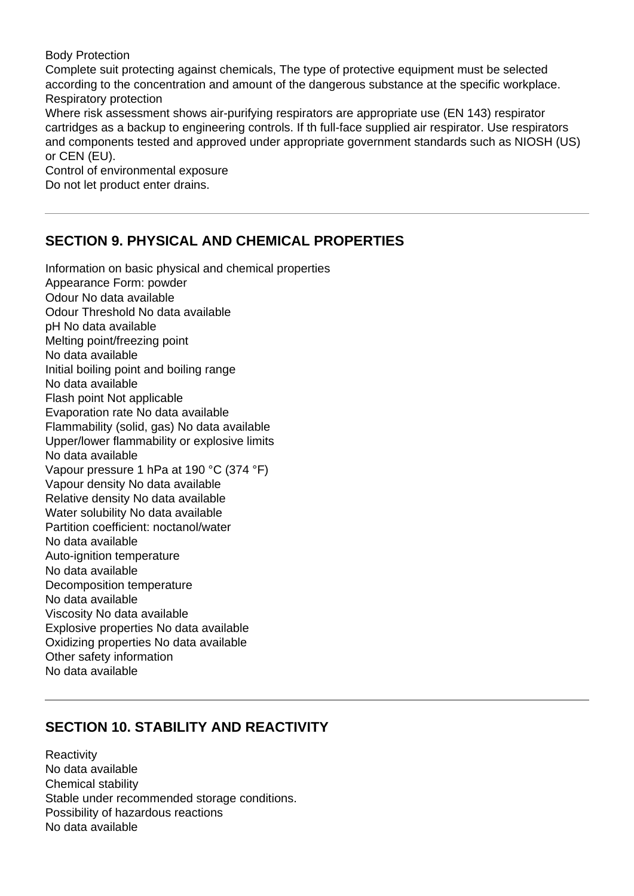Body Protection

Complete suit protecting against chemicals, The type of protective equipment must be selected according to the concentration and amount of the dangerous substance at the specific workplace. Respiratory protection

Where risk assessment shows air-purifying respirators are appropriate use (EN 143) respirator cartridges as a backup to engineering controls. If th full-face supplied air respirator. Use respirators and components tested and approved under appropriate government standards such as NIOSH (US) or CEN (EU).

Control of environmental exposure Do not let product enter drains.

## **SECTION 9. PHYSICAL AND CHEMICAL PROPERTIES**

Information on basic physical and chemical properties Appearance Form: powder Odour No data available Odour Threshold No data available pH No data available Melting point/freezing point No data available Initial boiling point and boiling range No data available Flash point Not applicable Evaporation rate No data available Flammability (solid, gas) No data available Upper/lower flammability or explosive limits No data available Vapour pressure 1 hPa at 190 °C (374 °F) Vapour density No data available Relative density No data available Water solubility No data available Partition coefficient: noctanol/water No data available Auto-ignition temperature No data available Decomposition temperature No data available Viscosity No data available Explosive properties No data available Oxidizing properties No data available Other safety information No data available

## **SECTION 10. STABILITY AND REACTIVITY**

**Reactivity** No data available Chemical stability Stable under recommended storage conditions. Possibility of hazardous reactions No data available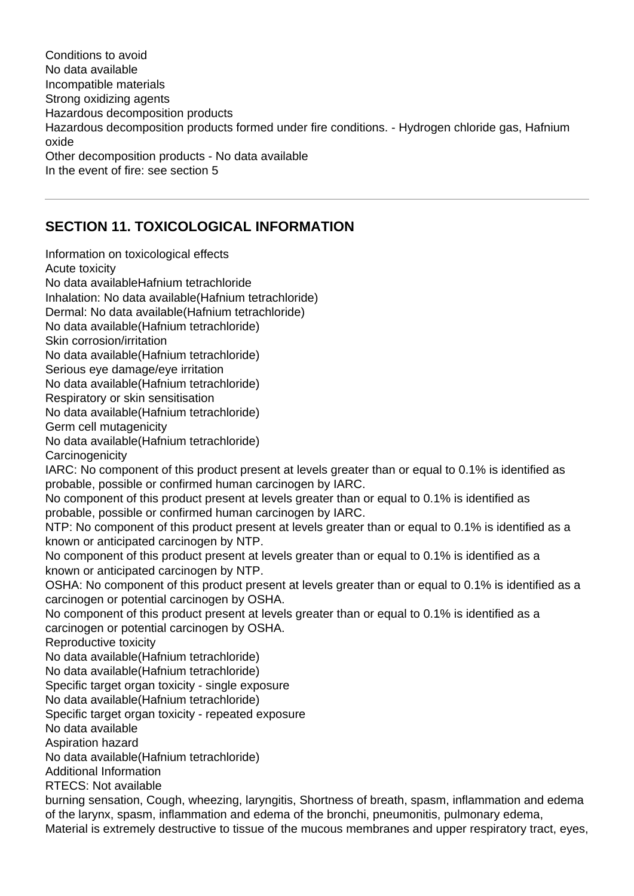Conditions to avoid No data available Incompatible materials Strong oxidizing agents Hazardous decomposition products Hazardous decomposition products formed under fire conditions. - Hydrogen chloride gas, Hafnium oxide Other decomposition products - No data available In the event of fire: see section 5

# **SECTION 11. TOXICOLOGICAL INFORMATION**

Information on toxicological effects Acute toxicity No data availableHafnium tetrachloride Inhalation: No data available(Hafnium tetrachloride) Dermal: No data available(Hafnium tetrachloride) No data available(Hafnium tetrachloride) Skin corrosion/irritation No data available(Hafnium tetrachloride) Serious eye damage/eye irritation No data available(Hafnium tetrachloride) Respiratory or skin sensitisation No data available(Hafnium tetrachloride) Germ cell mutagenicity No data available(Hafnium tetrachloride) **Carcinogenicity** IARC: No component of this product present at levels greater than or equal to 0.1% is identified as probable, possible or confirmed human carcinogen by IARC. No component of this product present at levels greater than or equal to 0.1% is identified as probable, possible or confirmed human carcinogen by IARC. NTP: No component of this product present at levels greater than or equal to 0.1% is identified as a known or anticipated carcinogen by NTP. No component of this product present at levels greater than or equal to 0.1% is identified as a known or anticipated carcinogen by NTP. OSHA: No component of this product present at levels greater than or equal to 0.1% is identified as a carcinogen or potential carcinogen by OSHA. No component of this product present at levels greater than or equal to 0.1% is identified as a carcinogen or potential carcinogen by OSHA. Reproductive toxicity No data available(Hafnium tetrachloride) No data available(Hafnium tetrachloride) Specific target organ toxicity - single exposure No data available(Hafnium tetrachloride) Specific target organ toxicity - repeated exposure No data available Aspiration hazard No data available(Hafnium tetrachloride) Additional Information RTECS: Not available burning sensation, Cough, wheezing, laryngitis, Shortness of breath, spasm, inflammation and edema of the larynx, spasm, inflammation and edema of the bronchi, pneumonitis, pulmonary edema, Material is extremely destructive to tissue of the mucous membranes and upper respiratory tract, eyes,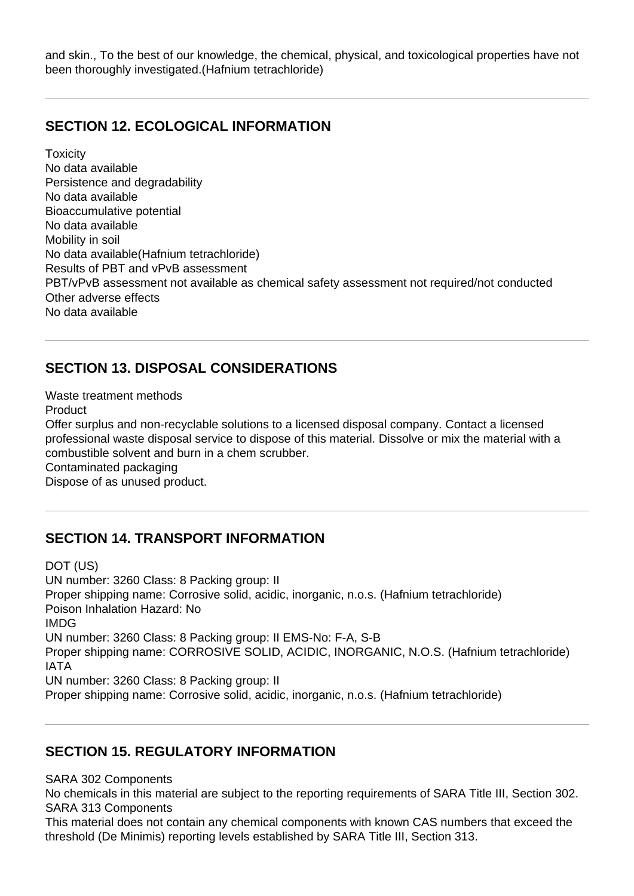and skin., To the best of our knowledge, the chemical, physical, and toxicological properties have not been thoroughly investigated.(Hafnium tetrachloride)

#### **SECTION 12. ECOLOGICAL INFORMATION**

**Toxicity** No data available Persistence and degradability No data available Bioaccumulative potential No data available Mobility in soil No data available(Hafnium tetrachloride) Results of PBT and vPvB assessment PBT/vPvB assessment not available as chemical safety assessment not required/not conducted Other adverse effects No data available

# **SECTION 13. DISPOSAL CONSIDERATIONS**

Waste treatment methods Product Offer surplus and non-recyclable solutions to a licensed disposal company. Contact a licensed professional waste disposal service to dispose of this material. Dissolve or mix the material with a combustible solvent and burn in a chem scrubber. Contaminated packaging Dispose of as unused product.

## **SECTION 14. TRANSPORT INFORMATION**

DOT (US) UN number: 3260 Class: 8 Packing group: II Proper shipping name: Corrosive solid, acidic, inorganic, n.o.s. (Hafnium tetrachloride) Poison Inhalation Hazard: No IMDG UN number: 3260 Class: 8 Packing group: II EMS-No: F-A, S-B Proper shipping name: CORROSIVE SOLID, ACIDIC, INORGANIC, N.O.S. (Hafnium tetrachloride) IATA UN number: 3260 Class: 8 Packing group: II Proper shipping name: Corrosive solid, acidic, inorganic, n.o.s. (Hafnium tetrachloride)

## **SECTION 15. REGULATORY INFORMATION**

SARA 302 Components

No chemicals in this material are subject to the reporting requirements of SARA Title III, Section 302. SARA 313 Components

This material does not contain any chemical components with known CAS numbers that exceed the threshold (De Minimis) reporting levels established by SARA Title III, Section 313.